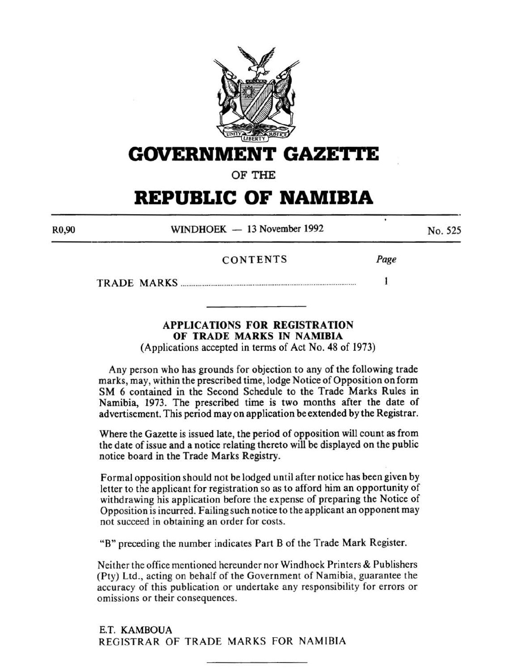

# **GOVERNMENT GAZET'I'E**

OF THE

# **REPUBLIC OF NAMIBIA**

| R <sub>0</sub> ,90 | WINDHOEK $-13$ November 1992 | No. 525 |
|--------------------|------------------------------|---------|
|                    |                              |         |

# CONTENTS Page

TRADE MARKS ............................................................................................... I

# APPLICATIONS FOR REGISTRATION OF TRADE MARKS IN NAMIBIA

(Applications accepted in terms of Act No. 48 of 1973)

Any person who has grounds for objection to any of the following trade marks, may, within the prescribed time, lodge Notice of Opposition on form SM 6 contained in the Second Schedule to the Trade Marks Rules in Namibia, 1973. The prescribed time is two months after the date of advertisement. This period may on application be extended by the Registrar.

Where the Gazette is issued late, the period of opposition will count as from the date of issue and a notice relating thereto will be displayed on the public notice board in the Trade Marks Registry.

Formal opposition should not be lodged until after notice has been given by letter to the applicant for registration so as to afford him an opportunity of withdrawing his application before the expense of preparing the Notice of Opposition is incurred. Failing such notice to the applicant an opponent may not succeed in obtaining an order for costs.

"B" preceding the number indicates Part B of the Trade Mark Register.

Neither the office mentioned hereunder nor Windhoek Printers & Publishers (Pty) Ltd., acting on behalf of the Government of Namibia, guarantee the accuracy of this publication or undertake any responsibility for errors or omissions or their consequences.

E.T. KAMBOUA REGISTRAR OF TRADE MARKS FOR NAMIBIA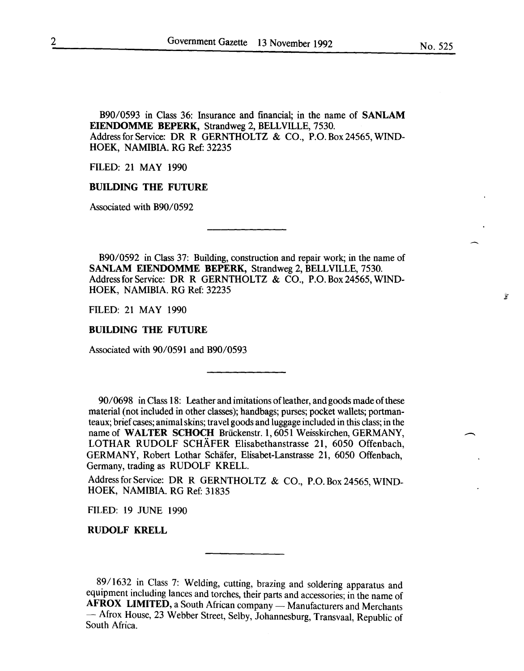B90/0593 in Class 36: Insurance and financial; in the name of SANLAM EIENDOMME BEPERK, Strandweg 2, BELLVILLE, 7530. Address for Service: DR R GERNTHOLTZ & CO., P.O. Box 24565, WIND-HOEK, NAMIBIA. RG Ref: 32235

FILED: 21 MAY 1990

# BUILDING THE FUTURE

Associated with B90/0592

B90/0592 in Class 37: Building, construction and repair work; in the name of SANLAM EIENDOMME BEPERK, Strandweg 2, BELLVILLE, 7530. Address for Service: DR R GERNTHOLTZ & CO., P.O. Box 24565, WIND-HOEK, NAMIBIA. RG Ref: 32235

FILED: 21 MAY 1990

#### BUILDING THE FUTURE

Associated with 90/0591 and B90/0593

90/0698 in Class 18: Leather and imitations ofleather, and goods made of these material (not included in other classes); handbags; purses; pocket wallets; portmanteaux; brief cases; animal skins; travel goods and luggage included in this class; in the name of WALTER SCHOCH Briickenstr. 1, 6051 Weisskirchen, GERMANY, LOTHAR RUDOLF SCHAFER Elisabethanstrasse 21, 6050 Offenbach, GERMANY, Robert Lothar Schafer, Elisabet-Lanstrasse 21, 6050 Offenbach, Germany, trading as RUDOLF KRELL.

Address for Service: DR R GERNTHOLTZ & CO., P.O. Box 24565, WIND-HOEK, NAMIBIA. RG Ref: 31835

FILED: 19 JUNE 1990

RUDOLF KRELL

89/1632 in Class 7: Welding, cutting, brazing and soldering apparatus and equipment including lances and torches, their parts and accessories; in the name of AFROX LIMITED, a South African company — Manufacturers and Merchants — Afrox House, 23 Webber Street, Selby, Johannesburg, Transvaal, Republic of South Africa.

鸾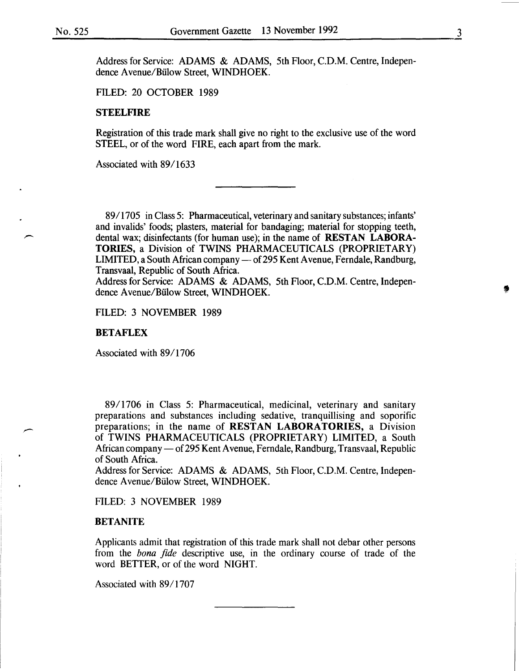Address for Service: ADAMS & ADAMS, 5th Floor, C.D.M. Centre, Independence Avenue/Bülow Street, WINDHOEK.

FILED: 20 OCTOBER 1989

#### **STEELFIRE**

Registration of this trade mark shall give no right to the exclusive use of the word STEEL, or of the word FIRE, each apart from the mark.

Associated with 89/1633

89/1705 in Class 5: Pharmaceutical, veterinary and sanitary substances; infants' and invalids' foods; plasters, material for bandaging; material for stopping teeth, dental wax; disinfectants (for human use); in the name of RESTAN LABORA-TORIES, a Division of TWINS PHARMACEUTICALS (PROPRIETARY) LIMITED, a South African company - of 295 Kent Avenue, Ferndale, Randburg, Transvaal, Republic of South Africa.

Address for Service: ADAMS & ADAMS, 5th Floor, C.D.M. Centre, Independence Avenue/Bülow Street, WINDHOEK.

FILED: 3 NOVEMBER 1989

#### BETAFLEX

Associated with 89/1706

89/1706 in Class 5: Pharmaceutical, medicinal, veterinary and sanitary preparations and substances including sedative, tranquillising and soporific preparations; in the name of RESTAN LABORATORIES, a Division of TWINS PHARMACEUTICALS (PROPRIETARY) LIMITED, a South African company — of 295 Kent Avenue, Ferndale, Randburg, Transvaal, Republic of South Africa.

Address for Service: ADAMS & ADAMS, 5th Floor, C.D.M. Centre, Independence Avenue/Bülow Street, WINDHOEK.

FILED: 3 NOVEMBER 1989

#### BETANITE

Applicants admit that registration of this trade mark shall not debar other persons from the *bona fide* descriptive use, in the ordinary course of trade of the word BETTER, or of the word NIGHT.

Associated with 89/1707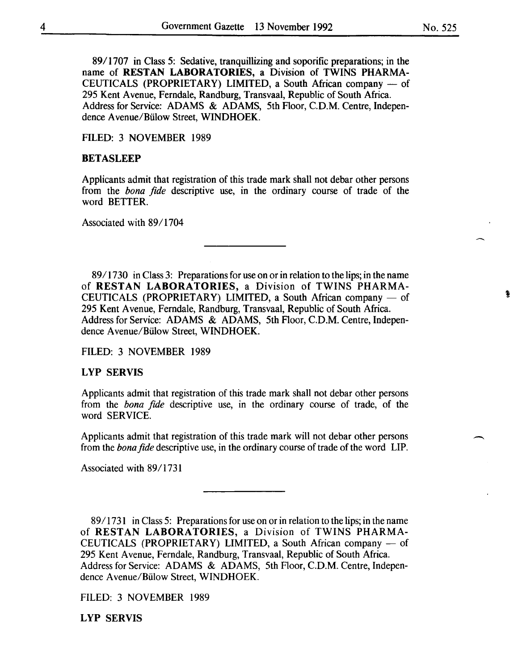89/1707 in Class 5: Sedative, tranquillizing and soporific preparations; in the name of RESTAN LABORATORIES, a Division of TWINS PHARMA-CEUTICALS (PROPRIETARY) LIMITED, a South African company  $-$  of 295 Kent Avenue, Ferndale, Randburg, Transvaal, Republic of South Africa. Address for Service: ADAMS & ADAMS, 5th Floor, C.D.M. Centre, Independence A venue/Biilow Street, WINDHOEK.

FILED: 3 NOVEMBER 1989

#### **BETASLEEP**

Applicants admit that registration of this trade mark shall not debar other persons from the *bona fide* descriptive use, in the ordinary course of trade of the word BETTER.

Associated with 89/1704

89/1730 in Class 3: Preparations for use on or in relation to the lips; in the name of RESTAN LABORATORIES, a Division of TWINS PHARMA-CEUTICALS (PROPRIETARY) LIMITED, a South African company  $-$  of 295 Kent A venue, Ferndale, Randburg, Transvaal, Republic of South Africa. Address for Service: ADAMS & ADAMS, 5th Floor, C.D.M. Centre, Independence A venue/Biilow Street, WINDHOEK.

FILED: 3 NOVEMBER 1989

# LYP SERVIS

Applicants admit that registration of this trade mark shall not debar other persons from the *bona fide* descriptive use, in the ordinary course of trade, of the word SERVICE.

Applicants admit that registration of this trade mark will not debar other persons from the *bona fide* descriptive use, in the ordinary course of trade of the word LIP.

Associated with 89/1731

89/1731 in Class 5: Preparations for use on or in relation to the lips; in the name of RESTAN LABORATORIES, a Division of TWINS PHARMA-CEUTICALS (PROPRIETARY) LIMITED, a South African company - of 295 Kent A venue, Ferndale, Randburg, Transvaal, Republic of South Africa. Address for Service: ADAMS & ADAMS, 5th Floor, C.D.M. Centre, Independence Avenue/Biilow Street, WINDHOEK.

FILED: 3 NOVEMBER 1989

LYP SERVIS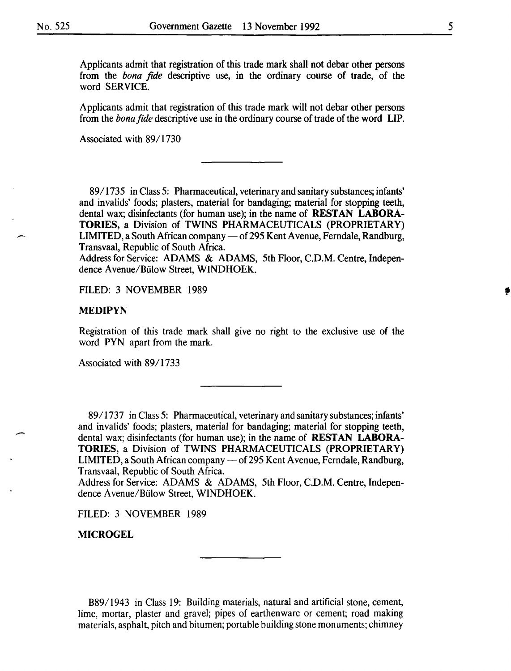Applicants admit that registration of this trade mark shall not debar other persons from the *bona fide* descriptive use, in the ordinary course of trade, of the word SERVICE.

Applicants admit that registration of this trade mark will not debar other persons from the *bona fide* descriptive use in the ordinary course of trade of the word LIP.

Associated with 89/1730

89/1735 in Class 5: Pharmaceutical, veterinary and sanitary substances; infants' and invalids' foods; plasters, material for bandaging; material for stopping teeth, dental wax; disinfectants (for human use); in the name of **RESTAN LABORA-**TORIES, a Division of TWINS PHARMACEUTICALS (PROPRIETARY) LIMITED, a South African company — of 295 Kent Avenue, Ferndale, Randburg, Transvaal, Republic of South Africa.

Address for Service: ADAMS & ADAMS, 5th Floor, C.D.M. Centre, Independence Avenue/Bülow Street, WINDHOEK.

FILED: 3 NOVEMBER 1989

#### MEDIPYN

Registration of this trade mark shall give no right to the exclusive use of the word PYN apart from the mark.

Associated with 89/1733

89/1737 in Class 5: Pharmaceutical, veterinary and sanitary substances; infants' and invalids' foods; plasters, material for bandaging; material for stopping teeth, dental wax; disinfectants (for human use); in the name of RESTAN LABORA-TORIES, a Division of TWINS PHARMACEUTICALS (PROPRIETARY) LIMITED, a South African company — of 295 Kent Avenue, Ferndale, Randburg, Transvaal, Republic of South Africa.

Address for Service: ADAMS & ADAMS, 5th Floor, C.D.M. Centre, Independence Avenue/Bülow Street, WINDHOEK.

FILED: 3 NOVEMBER 1989

**MICROGEL** 

-

B89/1943 in Class 19: Building materials, natural and artificial stone, cement, lime, mortar, plaster and gravel; pipes of earthenware or cement; road making materials, asphalt, pitch and bitumen; portable building stone monuments; chimney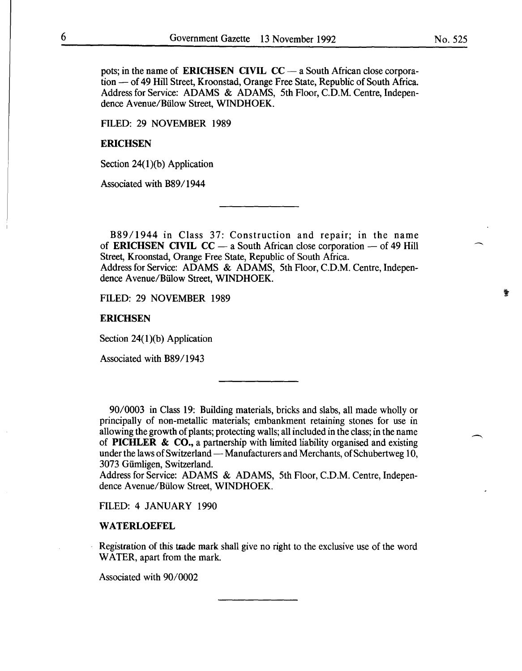pots; in the name of **ERICHSEN CIVIL CC** — a South African close corporation — of 49 Hill Street, Kroonstad, Orange Free State, Republic of South Africa. Address for Service: ADAMS & ADAMS, 5th Floor, C.D.M. Centre, Independence Avenue/Bülow Street, WINDHOEK.

FILED: 29 NOVEMBER 1989

#### **ERICHSEN**

Section 24(1)(b) Application

Associated with B89/1944

B89/1944 in Class 37: Construction and repair; in the name of **ERICHSEN CIVIL CC** — a South African close corporation — of 49 Hill Street, Kroonstad, Orange Free State, Republic of South Africa. Address for Service: ADAMS & ADAMS, 5th Floor, C.D.M. Centre, Independence Avenue/Bülow Street, WINDHOEK.

FILED: 29 NOVEMBER 1989

**ERICHSEN** 

Section  $24(1)(b)$  Application

Associated with B89/1943

*9010003* in Class 19: Building materials, bricks and slabs, all made wholly or principally of non-metallic materials; embankment retaining stones for use in allowing the growth of plants; protecting walls; all included in the class; in the name of PICHLER & CO., a partnership with limited liability organised and existing under the laws of Switzerland — Manufacturers and Merchants, of Schubertweg 10, 3073 Giimligen, Switzerland.

Address for Service: ADAMS & ADAMS, 5th Floor, C.D.M. Centre, Independence Avenue/Bülow Street, WINDHOEK.

FILED: 4 JANUARY 1990

#### WATERLOEFEL

Registration of this trade mark shall give no right to the exclusive use of the word WATER, apart from the mark.

Associated with  $90/0002$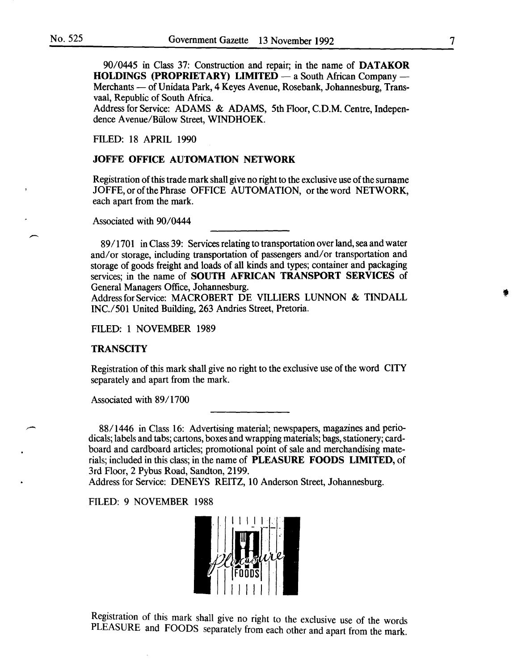90/0445 in Class 37: Construction and repair; in the name of DATAKOR  $HOLDINGS (PROPRIETARY) LIMITED - a South African Company -$ Merchants - of Unidata Park, 4 Keyes Avenue, Rosebank, Johannesburg, Transvaal, Republic of South Africa.

Address for Service: ADAMS & ADAMS, 5th Floor, C.D.M. Centre, Independence Avenue/Biilow Street, WINDHOEK.

FILED: I8 APRIL I990

## JOFFE OFFICE AUTOMATION NETWORK

Registration of this trade mark shall give no right to the exclusive use of the surname JOFFE, or of the Phrase OFFICE AUTOMATION, or the word NETWORK, each apart from the mark.

Associated with 90/0444

89/1701 in Class 39: Services relating to transportation over land, sea and water and/or storage, including transportation of passengers and/or transportation and storage of goods freight and loads of all kinds and types; container and packaging services; in the name of SOUTH AFRICAN TRANSPORT SERVICES of General Managers Office, Johannesburg.

Address for Service: MACROBERT DE VILLIERS LUNNON & TINDALL INC./50I United Building, 263 Andries Street, Pretoria.

FILED: I NOVEMBER I989

# **TRANSCITY**

Registration of this mark shall give no right to the exclusive use of the word CITY separately and apart from the mark.

Associated with 89/I700

88/ I446 in Class I6: Advertising material; newspapers, magazines and periodicals; labels and tabs; cartons, boxes and wrapping materials; bags, stationery; cardboard and cardboard articles; promotional point of sale and merchandising materials; included in this class; in the name of PLEASURE FOODS LIMITED, of 3rd Floor, 2 Pybus Road, Sandton, 2I99.

Address for Service: DENEYS REITZ, IO Anderson Street, Johannesburg.

FILED: 9 NOVEMBER I988



Registration of this mark shall give no right to the exclusive use of the words PLEASURE and FOODS separately from each other and apart from the mark.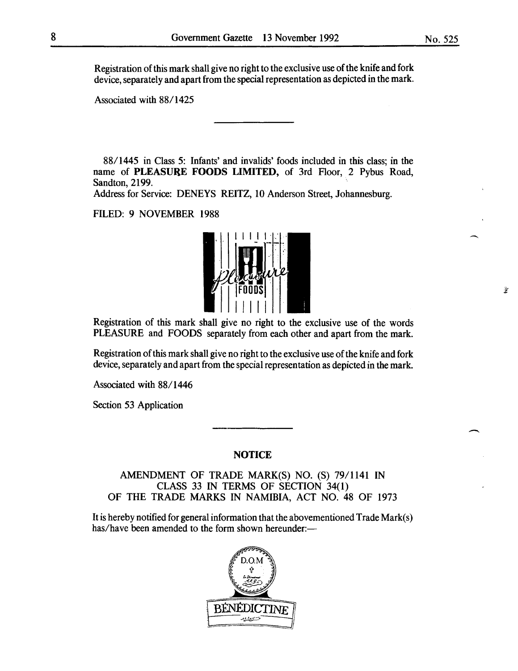Registration of this mark shall give no right to the exclusive use of the knife and fork device, separately and apart from the special representation as depicted in the mark.

Associated with 88/1425

88/1445 in Class 5: Infants' and invalids' foods included in this class; in the name of PLEASURE FOODS LIMITED, of 3rd Floor, 2 Pybus Road, Sandton, 2199.

Address for Service: DENEYS REITZ, 10 Anderson Street, Johannesburg.

# FILED: 9 NOVEMBER 1988



Registration of this mark shall give no right to the exclusive use of the words PLEASURE and FOODS separately from each other and apart from the mark.

Registration ofthis mark shall give no right to the exclusive use of the knife and fork device, separately and apart from the special representation as depicted in the mark.

Associated with 88/1446

Section 53 Application

# **NOTICE**

AMENDMENT OF TRADE MARK(S) NO. (S) 79/1141 IN CLASS 33 IN TERMS OF SECTION 34(1) OF THE TRADE MARKS IN NAMIBIA, ACT NO. 48 OF 1973

It is hereby notified for general information that the abovementioned Trade Mark(s) has/have been amended to the form shown hereunder:-



 $\hat{\mathbf{y}}$